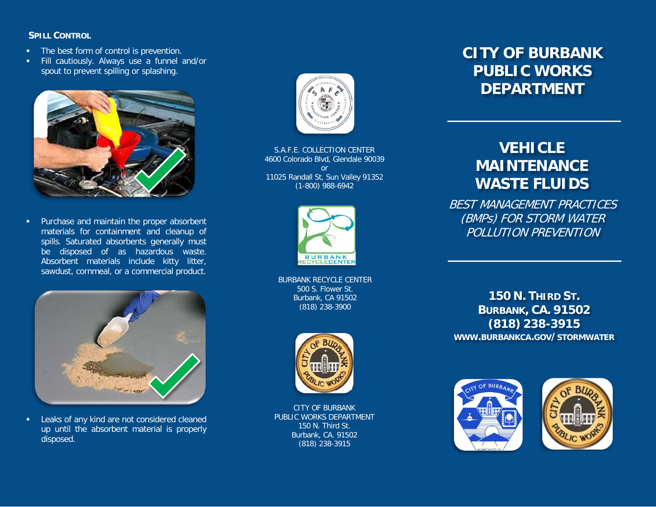### **SPILL CONTROL**

- **The best form of control is prevention.**
- **Fill cautiously. Always use a funnel and/or** spout to prevent spilling or splashing.



**Purchase and maintain the proper absorbent** materials for containment and cleanup of spills. Saturated absorbents generally must be disposed of as hazardous waste. Absorbent materials include kitty litter, sawdust, cornmeal, or a commercial product.



Leaks of any kind are not considered cleaned up until the absorbent material is properly disposed.



S.A.F.E. COLLECTION CENTER 4600 Colorado Blvd, Glendale 90039 or 11025 Randall St, Sun Valley 91352 (1-800) 988-6942



BURBANK RECYCLE CENTER 500 S. Flower St. Burbank, CA 91502 (818) 238-3900



CITY OF BURBANK PUBLIC WORKS DEPARTMENT 150 N. Third St. Burbank, CA. 91502 (818) 238-3915

## **CITY OF BURBANK PUBLIC WORKS DEPARTMENT**

# **VEHICLE MAINTENANCE WASTE FLUIDS**

BEST MANAGEMENT PRACTICES (BMPs) FOR STORM WATER POLLUTION PREVENTION

**150 N. THIRD ST. BURBANK, CA. 91502 (818) 238-3915 WWW.BURBANKCA.GOV/STORMWATER**